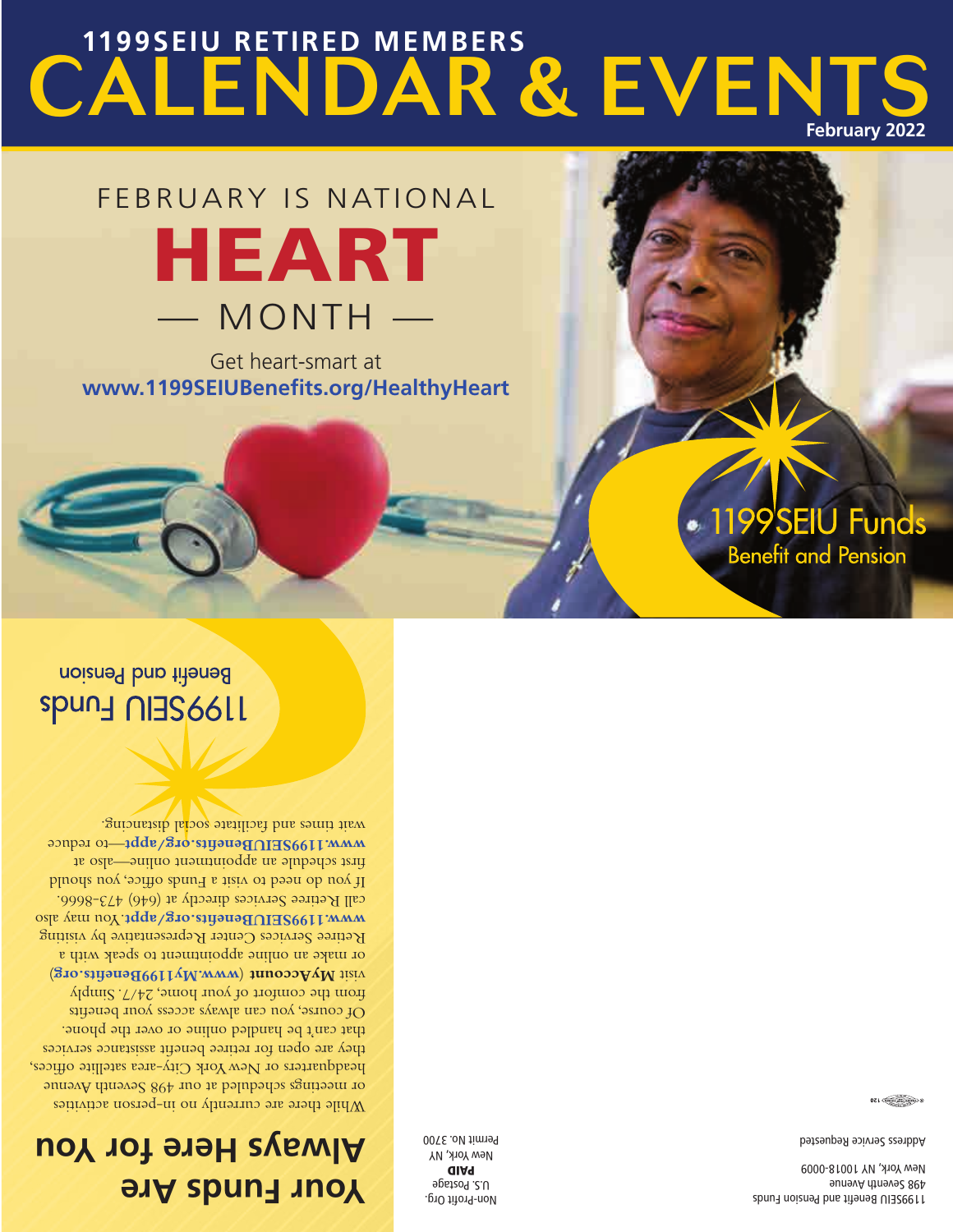**Your Funds Are Always Here for You**

While there are currently no in-person activities or meetings scheduled at our 498 Seventh Avenue headquarters or New York City-area satellite offices, they are open for retiree benefit assistance services that can't be handled online or over the phone. Of course, you can always access your benefits from the comfort of your home, 24/7. Simply ) **www.My1199Benefits.org** ( **MyAccount** visit or make an online appointment to speak with a Retiree Services Center Representative by visiting www.1199SEIUBenefits.org/appt.You may also call Retiree Services directly at (646) 473-8666. If you do need to visit a Funds office, you should first schedule an appointment online—also at www.1199SEIUBenefits.org/appt-to reduce wait times and facilitate social distancing.

noizned ban titensla **Spung nigs6611** 

> Non-Profit Org. U.S. Postage PAID New York, NY Permit No. 3700

1199SEIU Benefit and Pension Funds 498 Seventh Avenue New York, NY 10018-0009

1199SEIU Funds

**Benefit and Pension** 

Address Service Requested

Get heart-smart at **www.1199SEIUBenefits.org/HealthyHeart**

## FEBRUARY IS NATIONAL HEART — MONTH —

### CALENDAR & EVENT **1199SEIU RETIRED MEMBERS February 2022**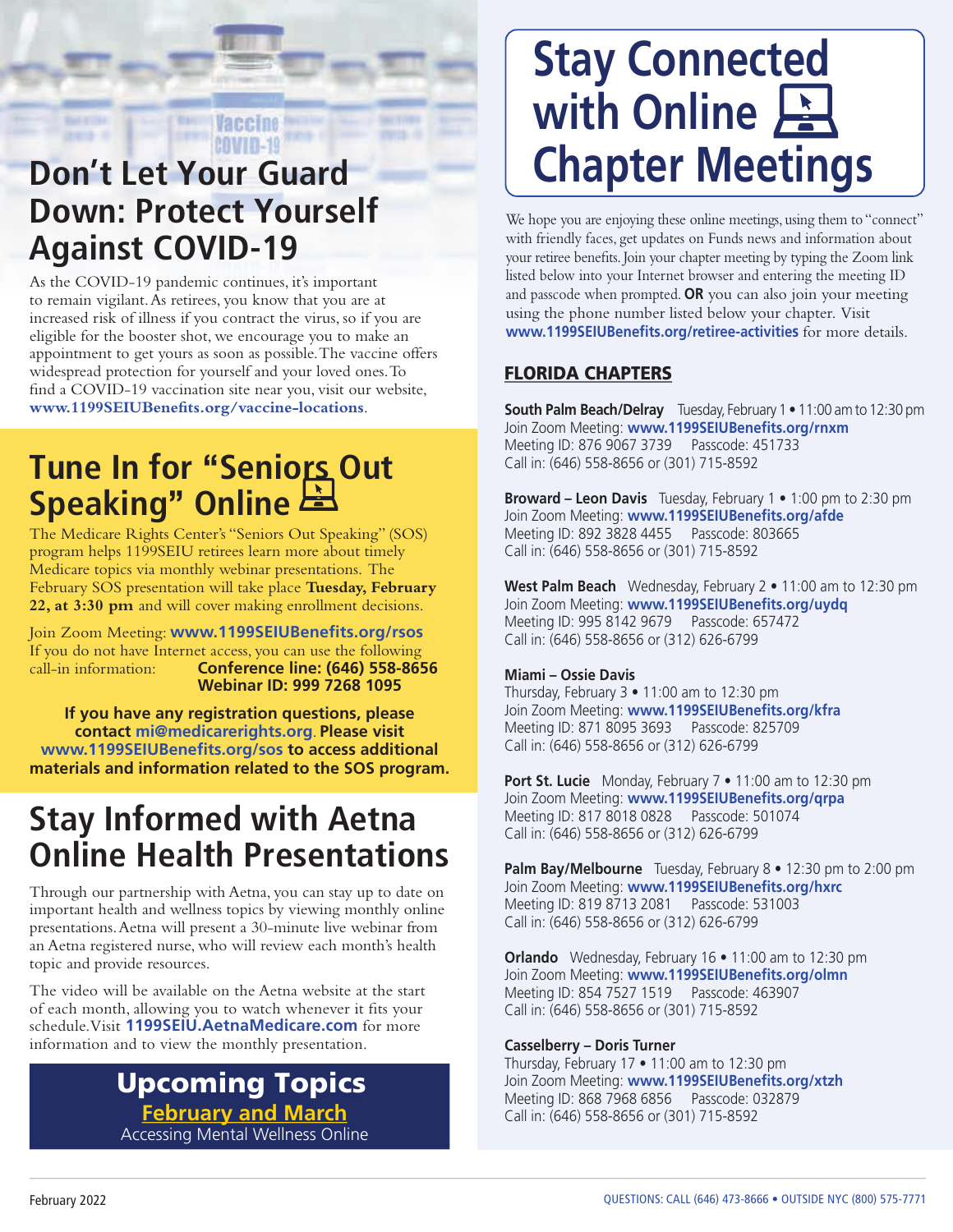### **COVID-19 Don't Let Your Guard Down: Protect Yourself Against COVID-19**

As the COVID-19 pandemic continues, it's important to remain vigilant. As retirees, you know that you are at increased risk of illness if you contract the virus, so if you are eligible for the booster shot, we encourage you to make an appointment to get yours as soon as possible. The vaccine offers widespread protection for yourself and your loved ones. To find a COVID-19 vaccination site near you, visit our website, **www.1199SEIUBenefits.org/vaccine-locations**.

Vaccine

### **Tune In for "Seniors Out Speaking" Online**

The Medicare Rights Center's "Seniors Out Speaking" (SOS) program helps 1199SEIU retirees learn more about timely Medicare topics via monthly webinar presentations. The February SOS presentation will take place **Tuesday, February 22, at 3:30 pm** and will cover making enrollment decisions.

Join Zoom Meeting: **www.1199SEIUBenefits.org/rsos**  If you do not have Internet access, you can use the following call-in information: **Conference line: (646) 558-8656 Webinar ID: 999 7268 1095**

**If you have any registration questions, please contact mi@medicarerights.org**. **Please visit www.1199SEIUBenefits.org/sos to access additional materials and information related to the SOS program.**

### **Stay Informed with Aetna Online Health Presentations**

Through our partnership with Aetna, you can stay up to date on important health and wellness topics by viewing monthly online presentations. Aetna will present a 30-minute live webinar from an Aetna registered nurse, who will review each month's health topic and provide resources.

The video will be available on the Aetna website at the start of each month, allowing you to watch whenever it fits your schedule. Visit **1199SEIU.AetnaMedicare.com** for more information and to view the monthly presentation.

#### **February and March** Accessing Mental Wellness Online Upcoming Topics

# **Stay Connected with Online Chapter Meetings**

We hope you are enjoying these online meetings, using them to "connect" with friendly faces, get updates on Funds news and information about your retiree benefits. Join your chapter meeting by typing the Zoom link listed below into your Internet browser and entering the meeting ID and passcode when prompted. **OR** you can also join your meeting using the phone number listed below your chapter. Visit **www.1199SEIUBenefits.org/retiree-activities** for more details.

#### FLORIDA CHAPTERS

**South Palm Beach/Delray** Tuesday, February 1 • 11:00 am to 12:30 pm Join Zoom Meeting: **www.1199SEIUBenefits.org/rnxm** Meeting ID: 876 9067 3739 Passcode: 451733 Call in: (646) 558-8656 or (301) 715-8592

**Broward – Leon Davis** Tuesday, February 1 • 1:00 pm to 2:30 pm Join Zoom Meeting: **www.1199SEIUBenefits.org/afde** Meeting ID: 892 3828 4455 Passcode: 803665 Call in: (646) 558-8656 or (301) 715-8592

**West Palm Beach** Wednesday, February 2 • 11:00 am to 12:30 pm Join Zoom Meeting: **www.1199SEIUBenefits.org/uydq** Meeting ID: 995 8142 9679 Passcode: 657472 Call in: (646) 558-8656 or (312) 626-6799

#### **Miami – Ossie Davis**

Thursday, February 3 • 11:00 am to 12:30 pm Join Zoom Meeting: **www.1199SEIUBenefits.org/kfra** Meeting ID: 871 8095 3693 Passcode: 825709 Call in: (646) 558-8656 or (312) 626-6799

**Port St. Lucie** Monday, February 7 • 11:00 am to 12:30 pm Join Zoom Meeting: **www.1199SEIUBenefits.org/qrpa** Meeting ID: 817 8018 0828 Passcode: 501074 Call in: (646) 558-8656 or (312) 626-6799

**Palm Bay/Melbourne** Tuesday, February 8 • 12:30 pm to 2:00 pm Join Zoom Meeting: **www.1199SEIUBenefits.org/hxrc**  Meeting ID: 819 8713 2081 Passcode: 531003 Call in: (646) 558-8656 or (312) 626-6799

**Orlando** Wednesday, February 16 • 11:00 am to 12:30 pm Join Zoom Meeting: **www.1199SEIUBenefits.org/olmn** Meeting ID: 854 7527 1519 Passcode: 463907 Call in: (646) 558-8656 or (301) 715-8592

#### **Casselberry – Doris Turner**

Thursday, February 17 • 11:00 am to 12:30 pm Join Zoom Meeting: **www.1199SEIUBenefits.org/xtzh** Meeting ID: 868 7968 6856 Passcode: 032879 Call in: (646) 558-8656 or (301) 715-8592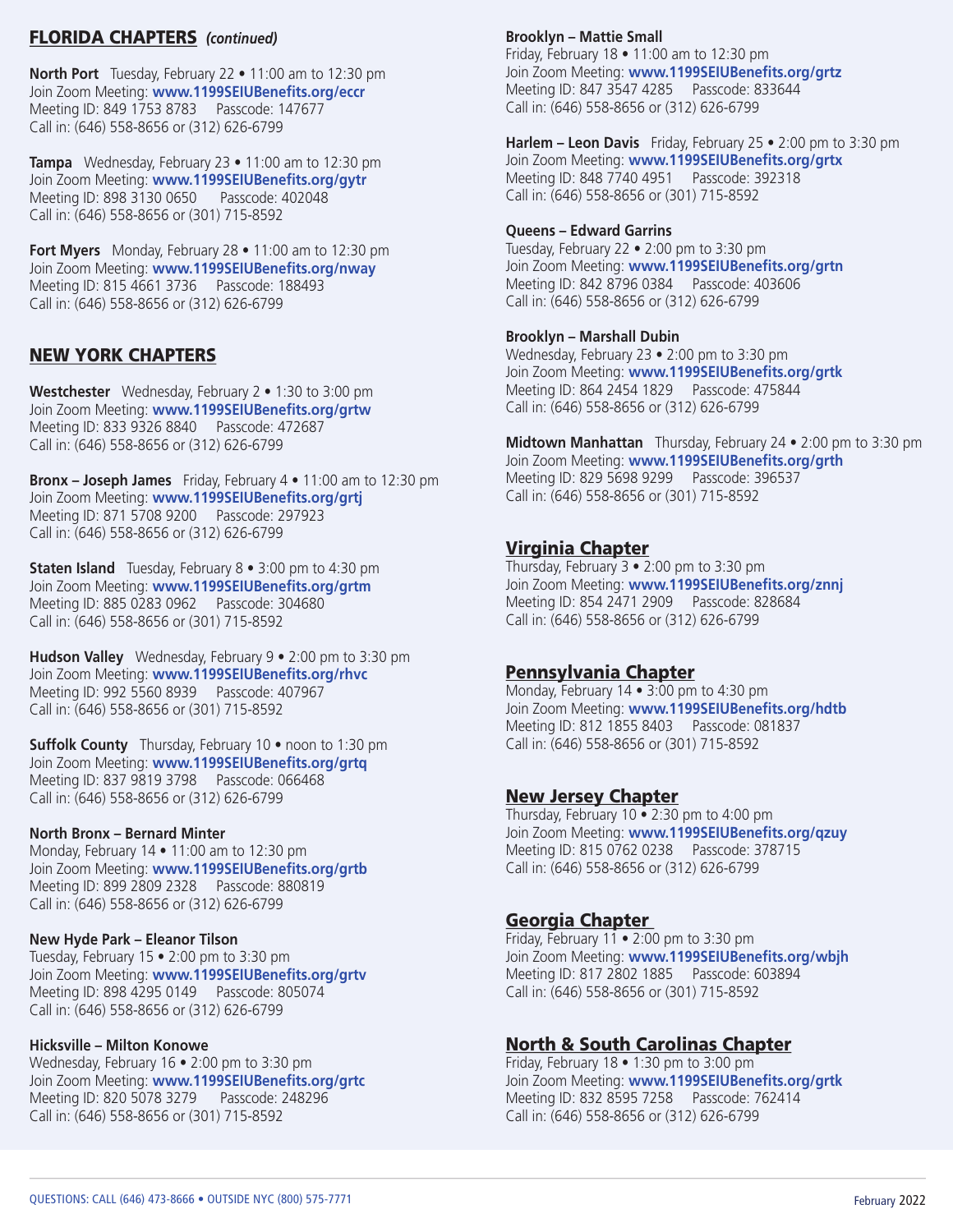#### FLORIDA CHAPTERS *(continued)*

**North Port** Tuesday, February 22 • 11:00 am to 12:30 pm Join Zoom Meeting: **www.1199SEIUBenefits.org/eccr** Meeting ID: 849 1753 8783 Passcode: 147677 Call in: (646) 558-8656 or (312) 626-6799

**Tampa** Wednesday, February 23 • 11:00 am to 12:30 pm Join Zoom Meeting: **www.1199SEIUBenefits.org/gytr** Meeting ID: 898 3130 0650 Passcode: 402048 Call in: (646) 558-8656 or (301) 715-8592

**Fort Myers** Monday, February 28 • 11:00 am to 12:30 pm Join Zoom Meeting: **www.1199SEIUBenefits.org/nway** Meeting ID: 815 4661 3736 Passcode: 188493 Call in: (646) 558-8656 or (312) 626-6799

#### NEW YORK CHAPTERS

**Westchester** Wednesday, February 2 • 1:30 to 3:00 pm Join Zoom Meeting: **www.1199SEIUBenefits.org/grtw** Meeting ID: 833 9326 8840 Passcode: 472687 Call in: (646) 558-8656 or (312) 626-6799

**Bronx – Joseph James** Friday, February 4 • 11:00 am to 12:30 pm Join Zoom Meeting: **www.1199SEIUBenefits.org/grtj**  Meeting ID: 871 5708 9200 Passcode: 297923 Call in: (646) 558-8656 or (312) 626-6799

**Staten Island** Tuesday, February 8 • 3:00 pm to 4:30 pm Join Zoom Meeting: **www.1199SEIUBenefits.org/grtm** Meeting ID: 885 0283 0962 Passcode: 304680 Call in: (646) 558-8656 or (301) 715-8592

**Hudson Valley** Wednesday, February 9 • 2:00 pm to 3:30 pm Join Zoom Meeting: **www.1199SEIUBenefits.org/rhvc** Meeting ID: 992 5560 8939 Passcode: 407967 Call in: (646) 558-8656 or (301) 715-8592

**Suffolk County** Thursday, February 10 • noon to 1:30 pm Join Zoom Meeting: **www.1199SEIUBenefits.org/grtq**  Meeting ID: 837 9819 3798 Passcode: 066468 Call in: (646) 558-8656 or (312) 626-6799

#### **North Bronx – Bernard Minter**

Monday, February 14 • 11:00 am to 12:30 pm Join Zoom Meeting: **www.1199SEIUBenefits.org/grtb** Meeting ID: 899 2809 2328 Passcode: 880819 Call in: (646) 558-8656 or (312) 626-6799

#### **New Hyde Park – Eleanor Tilson**

Tuesday, February 15 • 2:00 pm to 3:30 pm Join Zoom Meeting: **www.1199SEIUBenefits.org/grtv** Meeting ID: 898 4295 0149 Passcode: 805074 Call in: (646) 558-8656 or (312) 626-6799

#### **Hicksville – Milton Konowe**

Wednesday, February 16 • 2:00 pm to 3:30 pm Join Zoom Meeting: **www.1199SEIUBenefits.org/grtc**  Meeting ID: 820 5078 3279 Passcode: 248296 Call in: (646) 558-8656 or (301) 715-8592

#### **Brooklyn – Mattie Small**

Friday, February 18 • 11:00 am to 12:30 pm Join Zoom Meeting: **www.1199SEIUBenefits.org/grtz** Meeting ID: 847 3547 4285 Passcode: 833644 Call in: (646) 558-8656 or (312) 626-6799

**Harlem – Leon Davis** Friday, February 25 • 2:00 pm to 3:30 pm Join Zoom Meeting: **www.1199SEIUBenefits.org/grtx** Meeting ID: 848 7740 4951 Passcode: 392318 Call in: (646) 558-8656 or (301) 715-8592

#### **Queens – Edward Garrins**

Tuesday, February 22 • 2:00 pm to 3:30 pm Join Zoom Meeting: **www.1199SEIUBenefits.org/grtn**  Meeting ID: 842 8796 0384 Passcode: 403606 Call in: (646) 558-8656 or (312) 626-6799

#### **Brooklyn – Marshall Dubin**

Wednesday, February 23 • 2:00 pm to 3:30 pm Join Zoom Meeting: **www.1199SEIUBenefits.org/grtk** Meeting ID: 864 2454 1829 Passcode: 475844 Call in: (646) 558-8656 or (312) 626-6799

**Midtown Manhattan** Thursday, February 24 • 2:00 pm to 3:30 pm Join Zoom Meeting: **www.1199SEIUBenefits.org/grth** Meeting ID: 829 5698 9299 Passcode: 396537 Call in: (646) 558-8656 or (301) 715-8592

#### Virginia Chapter

Thursday, February 3 • 2:00 pm to 3:30 pm Join Zoom Meeting: **www.1199SEIUBenefits.org/znnj** Meeting ID: 854 2471 2909 Passcode: 828684 Call in: (646) 558-8656 or (312) 626-6799

#### Pennsylvania Chapter

Monday, February 14 • 3:00 pm to 4:30 pm Join Zoom Meeting: **www.1199SEIUBenefits.org/hdtb**  Meeting ID: 812 1855 8403 Passcode: 081837 Call in: (646) 558-8656 or (301) 715-8592

#### New Jersey Chapter

Thursday, February 10 • 2:30 pm to 4:00 pm Join Zoom Meeting: **www.1199SEIUBenefits.org/qzuy**  Meeting ID: 815 0762 0238 Passcode: 378715 Call in: (646) 558-8656 or (312) 626-6799

#### Georgia Chapter

Friday, February 11  $\bullet$  2:00 pm to 3:30 pm Join Zoom Meeting: **www.1199SEIUBenefits.org/wbjh** Meeting ID: 817 2802 1885 Passcode: 603894 Call in: (646) 558-8656 or (301) 715-8592

#### North & South Carolinas Chapter

Friday, February 18 • 1:30 pm to 3:00 pm Join Zoom Meeting: **www.1199SEIUBenefits.org/grtk** Meeting ID: 832 8595 7258 Passcode: 762414 Call in: (646) 558-8656 or (312) 626-6799